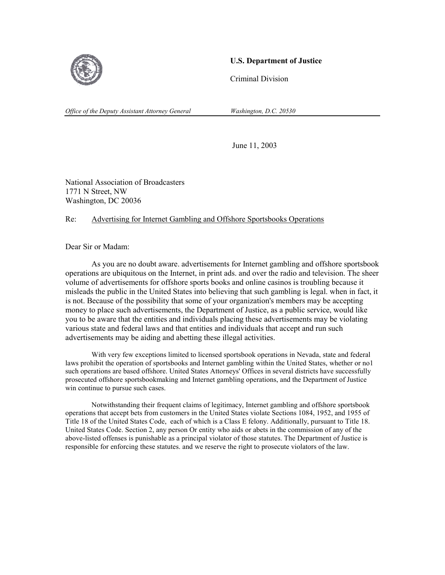

## **U.S. Department of Justice**

Criminal Division

*Office of the Deputy Assistant Attorney General* Washington, D.C. 20530

June 11, 2003

National Association of Broadcasters 1771 N Street, NW Washington, DC 20036

## Re: Advertising for Internet Gambling and Offshore Sportsbooks Operations

Dear Sir or Madam:

As you are no doubt aware. advertisements for Internet gambling and offshore sportsbook operations are ubiquitous on the Internet, in print ads. and over the radio and television. The sheer volume of advertisements for offshore sports books and online casinos is troubling because it misleads the public in the United States into believing that such gambling is legal. when in fact, it is not. Because of the possibility that some of your organization's members may be accepting money to place such advertisements, the Department of Justice, as a public service, would like you to be aware that the entities and individuals placing these advertisements may be violating various state and federal laws and that entities and individuals that accept and run such advertisements may be aiding and abetting these illegal activities.

With very few exceptions limited to licensed sportsbook operations in Nevada, state and federal laws prohibit the operation of sportsbooks and Internet gambling within the United States, whether or no1 such operations are based offshore. United States Attorneys' Offices in several districts have successfully prosecuted offshore sportsbookmaking and Internet gambling operations, and the Department of Justice win continue to pursue such cases.

Notwithstanding their frequent claims of legitimacy, Internet gambling and offshore sportsbook operations that accept bets from customers in the United States violate Sections 1084, 1952, and 1955 of Title 18 of the United States Code, each of which is a Class E felony. Additionally, pursuant to Title 18. United States Code. Section 2, any person Or entity who aids or abets in the commission of any of the above-listed offenses is punishable as a principal violator of those statutes. The Department of Justice is responsible for enforcing these statutes. and we reserve the right to prosecute violators of the law.